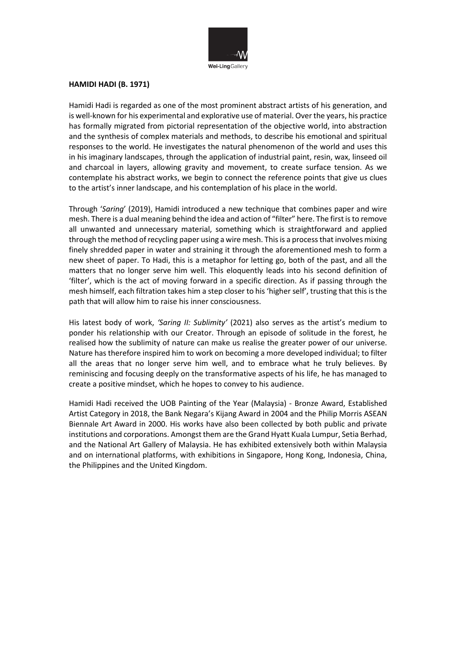

#### **HAMIDI HADI (B. 1971)**

Hamidi Hadi is regarded as one of the most prominent abstract artists of his generation, and is well-known for his experimental and explorative use of material. Over the years, his practice has formally migrated from pictorial representation of the objective world, into abstraction and the synthesis of complex materials and methods, to describe his emotional and spiritual responses to the world. He investigates the natural phenomenon of the world and uses this in his imaginary landscapes, through the application of industrial paint, resin, wax, linseed oil and charcoal in layers, allowing gravity and movement, to create surface tension. As we contemplate his abstract works, we begin to connect the reference points that give us clues to the artist's inner landscape, and his contemplation of his place in the world.

Through '*Saring*' (2019), Hamidi introduced a new technique that combines paper and wire mesh. There is a dual meaning behind the idea and action of "filter" here. The first is to remove all unwanted and unnecessary material, something which is straightforward and applied through the method of recycling paper using a wire mesh. This is a process that involves mixing finely shredded paper in water and straining it through the aforementioned mesh to form a new sheet of paper. To Hadi, this is a metaphor for letting go, both of the past, and all the matters that no longer serve him well. This eloquently leads into his second definition of 'filter', which is the act of moving forward in a specific direction. As if passing through the mesh himself, each filtration takes him a step closer to his 'higher self', trusting that this is the path that will allow him to raise his inner consciousness.

His latest body of work, *'Saring II: Sublimity'* (2021) also serves as the artist's medium to ponder his relationship with our Creator. Through an episode of solitude in the forest, he realised how the sublimity of nature can make us realise the greater power of our universe. Nature has therefore inspired him to work on becoming a more developed individual; to filter all the areas that no longer serve him well, and to embrace what he truly believes. By reminiscing and focusing deeply on the transformative aspects of his life, he has managed to create a positive mindset, which he hopes to convey to his audience.

Hamidi Hadi received the UOB Painting of the Year (Malaysia) - Bronze Award, Established Artist Category in 2018, the Bank Negara's Kijang Award in 2004 and the Philip Morris ASEAN Biennale Art Award in 2000. His works have also been collected by both public and private institutions and corporations. Amongst them are the Grand Hyatt Kuala Lumpur, Setia Berhad, and the National Art Gallery of Malaysia. He has exhibited extensively both within Malaysia and on international platforms, with exhibitions in Singapore, Hong Kong, Indonesia, China, the Philippines and the United Kingdom.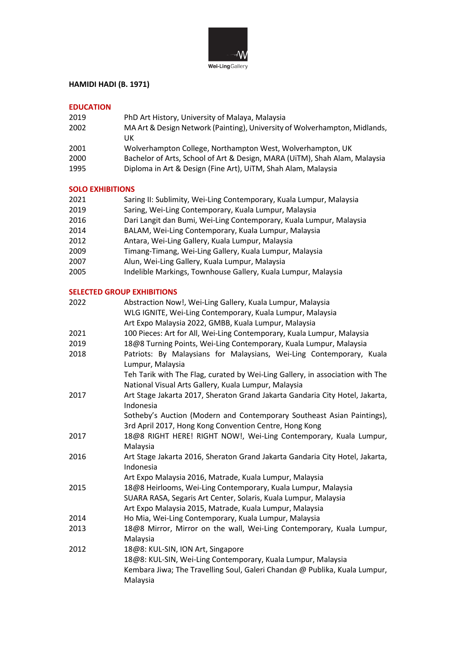

# **HAMIDI HADI (B. 1971)**

# **EDUCATION**

| 2019 | PhD Art History, University of Malaya, Malaysia                            |
|------|----------------------------------------------------------------------------|
| 2002 | MA Art & Design Network (Painting), University of Wolverhampton, Midlands, |
|      | UK                                                                         |
| 2001 | Wolverhampton College, Northampton West, Wolverhampton, UK                 |
| 2000 | Bachelor of Arts, School of Art & Design, MARA (UiTM), Shah Alam, Malaysia |
| 1995 | Diploma in Art & Design (Fine Art), UiTM, Shah Alam, Malaysia              |

## **SOLO EXHIBITIONS**

| 2021   | Saring II: Sublimity, Wei-Ling Contemporary, Kuala Lumpur, Malaysia |
|--------|---------------------------------------------------------------------|
| 2019   | Saring, Wei-Ling Contemporary, Kuala Lumpur, Malaysia               |
| 2016   | Dari Langit dan Bumi, Wei-Ling Contemporary, Kuala Lumpur, Malaysia |
| 2014   | BALAM, Wei-Ling Contemporary, Kuala Lumpur, Malaysia                |
| 2012   | Antara, Wei-Ling Gallery, Kuala Lumpur, Malaysia                    |
| $\sim$ | エリング・ファイル エリー・エヌ しょうしょう しょうしん アイトライト しょうしょう しゅんしょう いちのうしょう          |

- 2009 Timang-Timang, Wei-Ling Gallery, Kuala Lumpur, Malaysia
- 2007 Alun, Wei-Ling Gallery, Kuala Lumpur, Malaysia
- 2005 Indelible Markings, Townhouse Gallery, Kuala Lumpur, Malaysia

### **SELECTED GROUP EXHIBITIONS**

| 2022 | Abstraction Now!, Wei-Ling Gallery, Kuala Lumpur, Malaysia<br>WLG IGNITE, Wei-Ling Contemporary, Kuala Lumpur, Malaysia                                                                     |
|------|---------------------------------------------------------------------------------------------------------------------------------------------------------------------------------------------|
|      | Art Expo Malaysia 2022, GMBB, Kuala Lumpur, Malaysia                                                                                                                                        |
| 2021 | 100 Pieces: Art for All, Wei-Ling Contemporary, Kuala Lumpur, Malaysia                                                                                                                      |
| 2019 | 18@8 Turning Points, Wei-Ling Contemporary, Kuala Lumpur, Malaysia                                                                                                                          |
| 2018 | Patriots: By Malaysians for Malaysians, Wei-Ling Contemporary, Kuala<br>Lumpur, Malaysia                                                                                                    |
|      | Teh Tarik with The Flag, curated by Wei-Ling Gallery, in association with The<br>National Visual Arts Gallery, Kuala Lumpur, Malaysia                                                       |
| 2017 | Art Stage Jakarta 2017, Sheraton Grand Jakarta Gandaria City Hotel, Jakarta,<br>Indonesia                                                                                                   |
|      | Sotheby's Auction (Modern and Contemporary Southeast Asian Paintings),<br>3rd April 2017, Hong Kong Convention Centre, Hong Kong                                                            |
| 2017 | 18@8 RIGHT HERE! RIGHT NOW!, Wei-Ling Contemporary, Kuala Lumpur,<br>Malaysia                                                                                                               |
| 2016 | Art Stage Jakarta 2016, Sheraton Grand Jakarta Gandaria City Hotel, Jakarta,<br>Indonesia                                                                                                   |
|      | Art Expo Malaysia 2016, Matrade, Kuala Lumpur, Malaysia                                                                                                                                     |
| 2015 | 18@8 Heirlooms, Wei-Ling Contemporary, Kuala Lumpur, Malaysia<br>SUARA RASA, Segaris Art Center, Solaris, Kuala Lumpur, Malaysia                                                            |
|      | Art Expo Malaysia 2015, Matrade, Kuala Lumpur, Malaysia                                                                                                                                     |
| 2014 | Ho Mia, Wei-Ling Contemporary, Kuala Lumpur, Malaysia                                                                                                                                       |
| 2013 | 18@8 Mirror, Mirror on the wall, Wei-Ling Contemporary, Kuala Lumpur,<br>Malaysia                                                                                                           |
| 2012 | 18@8: KUL-SIN, ION Art, Singapore<br>18@8: KUL-SIN, Wei-Ling Contemporary, Kuala Lumpur, Malaysia<br>Kembara Jiwa; The Travelling Soul, Galeri Chandan @ Publika, Kuala Lumpur,<br>Malaysia |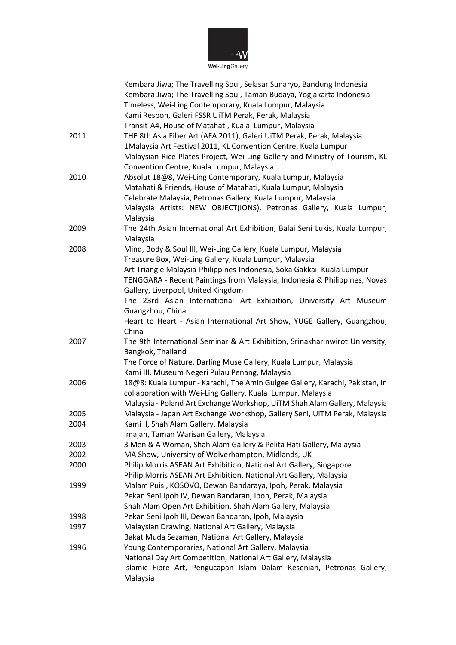

Wei-LingGallery

|      | Kembara Jiwa; The Travelling Soul, Selasar Sunaryo, Bandung Indonesia        |
|------|------------------------------------------------------------------------------|
|      | Kembara Jiwa; The Travelling Soul, Taman Budaya, Yogjakarta Indonesia        |
|      | Timeless, Wei-Ling Contemporary, Kuala Lumpur, Malaysia                      |
|      | Kami Respon, Galeri FSSR UiTM Perak, Perak, Malaysia                         |
|      | Transit-A4, House of Matahati, Kuala Lumpur, Malaysia                        |
| 2011 | THE 8th Asia Fiber Art (AFA 2011), Galeri UiTM Perak, Perak, Malaysia        |
|      | 1Malaysia Art Festival 2011, KL Convention Centre, Kuala Lumpur              |
|      | Malaysian Rice Plates Project, Wei-Ling Gallery and Ministry of Tourism, KL  |
|      | Convention Centre, Kuala Lumpur, Malaysia                                    |
| 2010 | Absolut 18@8, Wei-Ling Contemporary, Kuala Lumpur, Malaysia                  |
|      | Matahati & Friends, House of Matahati, Kuala Lumpur, Malaysia                |
|      | Celebrate Malaysia, Petronas Gallery, Kuala Lumpur, Malaysia                 |
|      | Malaysia Artists: NEW OBJECT(IONS), Petronas Gallery, Kuala Lumpur,          |
|      |                                                                              |
|      | Malaysia                                                                     |
| 2009 | The 24th Asian International Art Exhibition, Balai Seni Lukis, Kuala Lumpur, |
|      | Malaysia                                                                     |
| 2008 | Mind, Body & Soul III, Wei-Ling Gallery, Kuala Lumpur, Malaysia              |
|      | Treasure Box, Wei-Ling Gallery, Kuala Lumpur, Malaysia                       |
|      | Art Triangle Malaysia-Philippines-Indonesia, Soka Gakkai, Kuala Lumpur       |
|      | TENGGARA - Recent Paintings from Malaysia, Indonesia & Philippines, Novas    |
|      | Gallery, Liverpool, United Kingdom                                           |
|      | The 23rd Asian International Art Exhibition, University Art Museum           |
|      | Guangzhou, China                                                             |
|      | Heart to Heart - Asian International Art Show, YUGE Gallery, Guangzhou,      |
|      | China                                                                        |
| 2007 | The 9th International Seminar & Art Exhibition, Srinakharinwirot University, |
|      | Bangkok, Thailand                                                            |
|      | The Force of Nature, Darling Muse Gallery, Kuala Lumpur, Malaysia            |
|      | Kami III, Museum Negeri Pulau Penang, Malaysia                               |
| 2006 | 18@8: Kuala Lumpur - Karachi, The Amin Gulgee Gallery, Karachi, Pakistan, in |
|      | collaboration with Wei-Ling Gallery, Kuala Lumpur, Malaysia                  |
|      | Malaysia - Poland Art Exchange Workshop, UiTM Shah Alam Gallery, Malaysia    |
| 2005 | Malaysia - Japan Art Exchange Workshop, Gallery Seni, UiTM Perak, Malaysia   |
| 2004 | Kami II, Shah Alam Gallery, Malaysia                                         |
|      | Imajan, Taman Warisan Gallery, Malaysia                                      |
| 2003 | 3 Men & A Woman, Shah Alam Gallery & Pelita Hati Gallery, Malaysia           |
| 2002 | MA Show, University of Wolverhampton, Midlands, UK                           |
| 2000 | Philip Morris ASEAN Art Exhibition, National Art Gallery, Singapore          |
|      | Philip Morris ASEAN Art Exhibition, National Art Gallery, Malaysia           |
| 1999 | Malam Puisi, KOSOVO, Dewan Bandaraya, Ipoh, Perak, Malaysia                  |
|      | Pekan Seni Ipoh IV, Dewan Bandaran, Ipoh, Perak, Malaysia                    |
|      | Shah Alam Open Art Exhibition, Shah Alam Gallery, Malaysia                   |
| 1998 | Pekan Seni Ipoh III, Dewan Bandaran, Ipoh, Malaysia                          |
| 1997 | Malaysian Drawing, National Art Gallery, Malaysia                            |
|      | Bakat Muda Sezaman, National Art Gallery, Malaysia                           |
| 1996 | Young Contemporaries, National Art Gallery, Malaysia                         |
|      | National Day Art Competition, National Art Gallery, Malaysia                 |
|      | Islamic Fibre Art, Pengucapan Islam Dalam Kesenian, Petronas Gallery,        |
|      | Malaysia                                                                     |